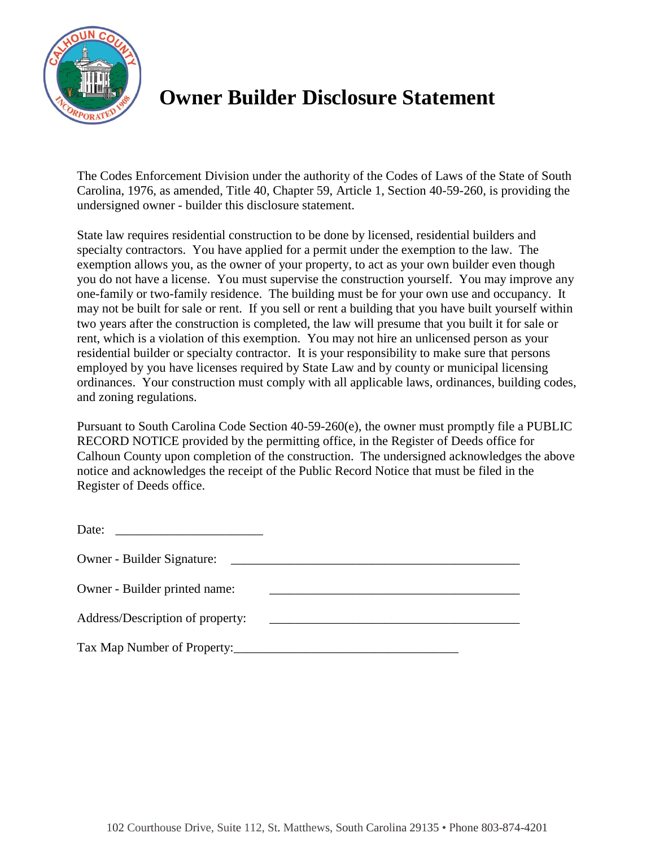

## **Owner Builder Disclosure Statement**

The Codes Enforcement Division under the authority of the Codes of Laws of the State of South Carolina, 1976, as amended, Title 40, Chapter 59, Article 1, Section 40-59-260, is providing the undersigned owner - builder this disclosure statement.

State law requires residential construction to be done by licensed, residential builders and specialty contractors. You have applied for a permit under the exemption to the law. The exemption allows you, as the owner of your property, to act as your own builder even though you do not have a license. You must supervise the construction yourself. You may improve any one-family or two-family residence. The building must be for your own use and occupancy. It may not be built for sale or rent. If you sell or rent a building that you have built yourself within two years after the construction is completed, the law will presume that you built it for sale or rent, which is a violation of this exemption. You may not hire an unlicensed person as your residential builder or specialty contractor. It is your responsibility to make sure that persons employed by you have licenses required by State Law and by county or municipal licensing ordinances. Your construction must comply with all applicable laws, ordinances, building codes, and zoning regulations.

Pursuant to South Carolina Code Section 40-59-260(e), the owner must promptly file a PUBLIC RECORD NOTICE provided by the permitting office, in the Register of Deeds office for Calhoun County upon completion of the construction. The undersigned acknowledges the above notice and acknowledges the receipt of the Public Record Notice that must be filed in the Register of Deeds office.

| Date:<br>the contract of the contract of the contract of the contract of the contract of |  |
|------------------------------------------------------------------------------------------|--|
| <b>Owner - Builder Signature:</b>                                                        |  |
| Owner - Builder printed name:                                                            |  |
| Address/Description of property:                                                         |  |
| Tax Map Number of Property:                                                              |  |